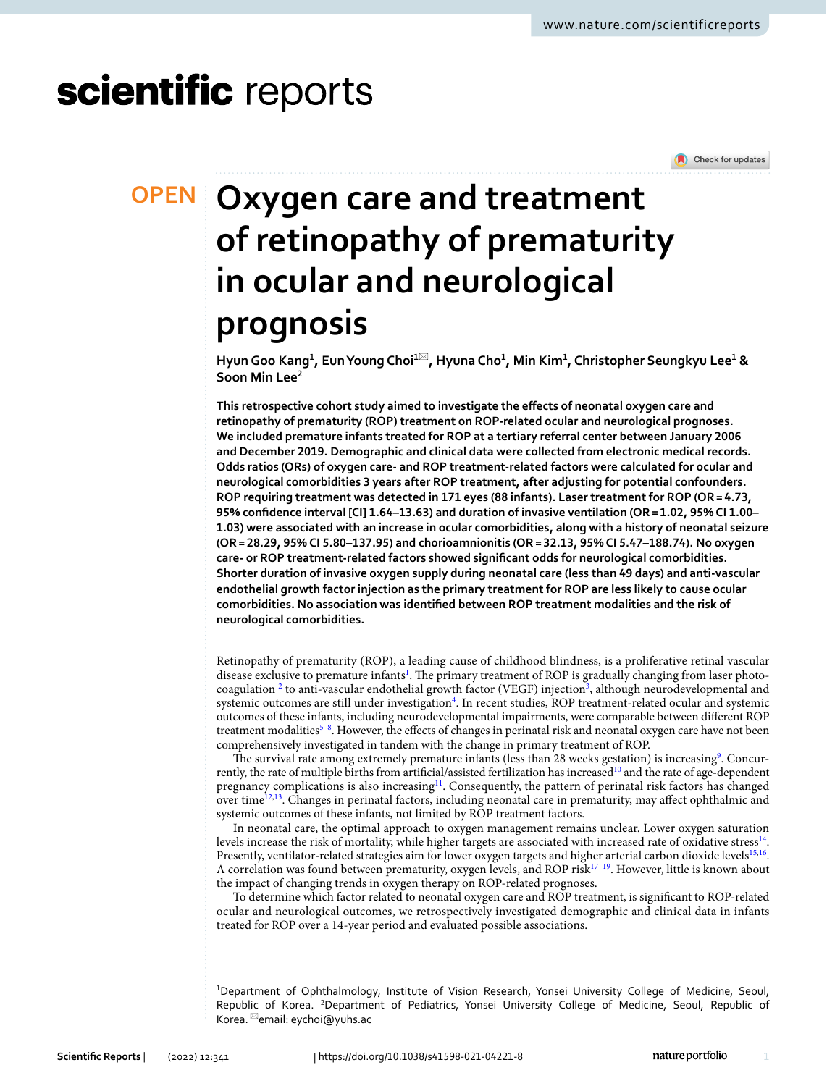# scientific reports

Check for updates

## **Oxygen care and treatment OPEN of retinopathy of prematurity in ocular and neurological prognosis**

**HyunGoo Kang1 , EunYoung Choi1**\***, Hyuna Cho1 , Min Kim1 , Christopher Seungkyu Lee1 & Soon Min Lee2**

**This retrospective cohort study aimed to investigate the efects of neonatal oxygen care and retinopathy of prematurity (ROP) treatment on ROP-related ocular and neurological prognoses. We included premature infants treated for ROP at a tertiary referral center between January 2006 and December 2019. Demographic and clinical data were collected from electronic medical records. Odds ratios (ORs) of oxygen care- and ROP treatment-related factors were calculated for ocular and neurological comorbidities 3 years after ROP treatment, after adjusting for potential confounders. ROP requiring treatment was detected in 171 eyes (88 infants). Laser treatment for ROP (OR= 4.73, 95% confdence interval [CI] 1.64–13.63) and duration of invasive ventilation (OR= 1.02, 95% CI 1.00– 1.03) were associated with an increase in ocular comorbidities, along with a history of neonatal seizure (OR= 28.29, 95% CI 5.80–137.95) and chorioamnionitis (OR= 32.13, 95% CI 5.47–188.74). No oxygen care- or ROP treatment-related factors showed signifcant odds for neurological comorbidities. Shorter duration of invasive oxygen supply during neonatal care (less than 49 days) and anti-vascular endothelial growth factor injection as the primary treatment for ROP are less likely to cause ocular comorbidities. No association was identifed between ROP treatment modalities and the risk of neurological comorbidities.**

Retinopathy of prematurity (ROP), a leading cause of childhood blindness, is a proliferative retinal vascular disease exclusive to premature infants<sup>[1](#page-6-0)</sup>. The primary treatment of ROP is gradually changing from laser photo-coagulation<sup>[2](#page-6-1)</sup> to anti-vascular endothelial growth factor (VEGF) injection<sup>[3](#page-6-2)</sup>, although neurodevelopmental and systemic outcomes are still under investigation<sup>[4](#page-6-3)</sup>. In recent studies, ROP treatment-related ocular and systemic outcomes of these infants, including neurodevelopmental impairments, were comparable between diferent ROP treatment modalities<sup>5-8</sup>. However, the effects of changes in perinatal risk and neonatal oxygen care have not been comprehensively investigated in tandem with the change in primary treatment of ROP.

The survival rate among extremely premature infants (less than 28 weeks gestation) is increasing<sup>9</sup>. Concur-rently, the rate of multiple births from artificial/assisted fertilization has increased<sup>[10](#page-7-2)</sup> and the rate of age-dependent pregnancy complications is also increasin[g11.](#page-7-3) Consequently, the pattern of perinatal risk factors has changed over time<sup>12[,13](#page-7-5)</sup>. Changes in perinatal factors, including neonatal care in prematurity, may affect ophthalmic and systemic outcomes of these infants, not limited by ROP treatment factors.

In neonatal care, the optimal approach to oxygen management remains unclear. Lower oxygen saturation levels increase the risk of mortality, while higher targets are associated with increased rate of oxidative stress<sup>14</sup>. Presently, ventilator-related strategies aim for lower oxygen targets and higher arterial carbon dioxide levels<sup>[15](#page-7-7)[,16](#page-7-8)</sup>. A correlation was found between prematurity, oxygen levels, and ROP risk<sup>17-19</sup>. However, little is known about the impact of changing trends in oxygen therapy on ROP-related prognoses.

To determine which factor related to neonatal oxygen care and ROP treatment, is signifcant to ROP-related ocular and neurological outcomes, we retrospectively investigated demographic and clinical data in infants treated for ROP over a 14-year period and evaluated possible associations.

<sup>1</sup>Department of Ophthalmology, Institute of Vision Research, Yonsei University College of Medicine, Seoul, Republic of Korea. <sup>2</sup>Department of Pediatrics, Yonsei University College of Medicine, Seoul, Republic of Korea. <sup>⊠</sup>email: eychoi@yuhs.ac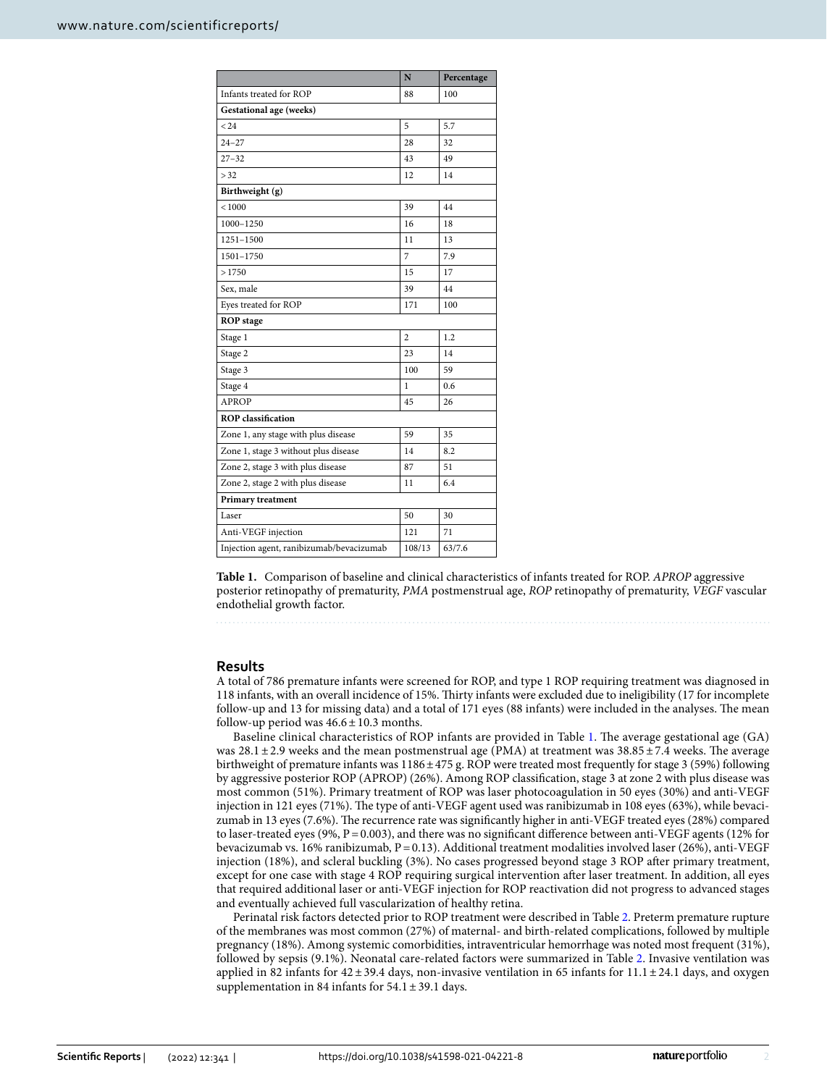|                                          | N              | Percentage |  |
|------------------------------------------|----------------|------------|--|
| Infants treated for ROP                  | 88             | 100        |  |
| Gestational age (weeks)                  |                |            |  |
| < 24                                     | 5              | 5.7        |  |
| $24 - 27$                                | 28             | 32         |  |
| $27 - 32$                                | 43             | 49         |  |
| > 32                                     | 12             | 14         |  |
| Birthweight (g)                          |                |            |  |
| < 1000                                   | 39             | 44         |  |
| 1000-1250                                | 16             | 18         |  |
| 1251-1500                                | 11             | 13         |  |
| 1501-1750                                | 7              | 7.9        |  |
| >1750                                    | 15             | 17         |  |
| Sex, male                                | 39             | 44         |  |
| Eyes treated for ROP                     | 171            | 100        |  |
| <b>ROP</b> stage                         |                |            |  |
| Stage 1                                  | $\overline{2}$ | 1.2        |  |
| Stage 2                                  | 23             | 14         |  |
| Stage 3                                  | 100            | 59         |  |
| Stage 4                                  | $\mathbf{1}$   | 0.6        |  |
| <b>APROP</b>                             | 45             | 26         |  |
| <b>ROP</b> classification                |                |            |  |
| Zone 1, any stage with plus disease      | 59             | 35         |  |
| Zone 1, stage 3 without plus disease     | 14             | 8.2        |  |
| Zone 2, stage 3 with plus disease        | 87             | 51         |  |
| Zone 2, stage 2 with plus disease        | 11             | 6.4        |  |
| <b>Primary treatment</b>                 |                |            |  |
| Laser                                    | 50             | 30         |  |
| Anti-VEGF injection                      | 121            | 71         |  |
| Injection agent, ranibizumab/bevacizumab | 108/13         | 63/7.6     |  |

<span id="page-1-0"></span>**Table 1.** Comparison of baseline and clinical characteristics of infants treated for ROP. *APROP* aggressive posterior retinopathy of prematurity, *PMA* postmenstrual age, *ROP* retinopathy of prematurity, *VEGF* vascular endothelial growth factor.

#### **Results**

A total of 786 premature infants were screened for ROP, and type 1 ROP requiring treatment was diagnosed in 118 infants, with an overall incidence of 15%. Tirty infants were excluded due to ineligibility (17 for incomplete follow-up and 13 for missing data) and a total of 171 eyes (88 infants) were included in the analyses. The mean follow-up period was  $46.6 \pm 10.3$  months.

Baseline clinical characteristics of ROP infants are provided in Table [1.](#page-1-0) The average gestational age (GA) was 28.1 ± 2.9 weeks and the mean postmenstrual age (PMA) at treatment was  $38.85 \pm 7.4$  weeks. The average birthweight of premature infants was 1186±475 g. ROP were treated most frequently for stage 3 (59%) following by aggressive posterior ROP (APROP) (26%). Among ROP classifcation, stage 3 at zone 2 with plus disease was most common (51%). Primary treatment of ROP was laser photocoagulation in 50 eyes (30%) and anti-VEGF injection in 121 eyes (71%). The type of anti-VEGF agent used was ranibizumab in 108 eyes (63%), while bevacizumab in 13 eyes (7.6%). The recurrence rate was significantly higher in anti-VEGF treated eyes (28%) compared to laser-treated eyes (9%, P=0.003), and there was no signifcant diference between anti-VEGF agents (12% for bevacizumab vs. 16% ranibizumab, P=0.13). Additional treatment modalities involved laser (26%), anti-VEGF injection (18%), and scleral buckling (3%). No cases progressed beyond stage 3 ROP afer primary treatment, except for one case with stage 4 ROP requiring surgical intervention afer laser treatment. In addition, all eyes that required additional laser or anti-VEGF injection for ROP reactivation did not progress to advanced stages and eventually achieved full vascularization of healthy retina.

Perinatal risk factors detected prior to ROP treatment were described in Table [2](#page-2-0). Preterm premature rupture of the membranes was most common (27%) of maternal- and birth-related complications, followed by multiple pregnancy (18%). Among systemic comorbidities, intraventricular hemorrhage was noted most frequent (31%), followed by sepsis (9.1%). Neonatal care-related factors were summarized in Table [2.](#page-2-0) Invasive ventilation was applied in 82 infants for  $42 \pm 39.4$  days, non-invasive ventilation in 65 infants for 11.1  $\pm 24.1$  days, and oxygen supplementation in 84 infants for  $54.1 \pm 39.1$  days.

2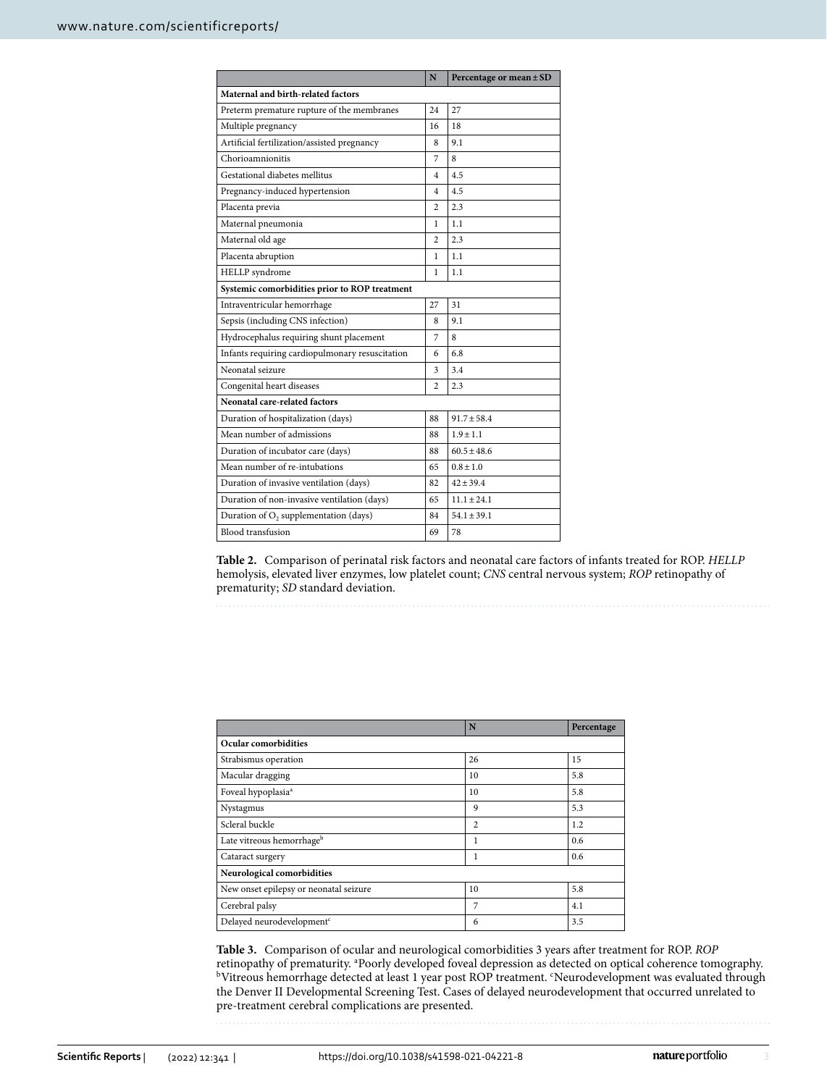|                                                 | N                       | Percentage or mean ± SD |  |  |  |
|-------------------------------------------------|-------------------------|-------------------------|--|--|--|
| Maternal and birth-related factors              |                         |                         |  |  |  |
| Preterm premature rupture of the membranes      | 24                      | 27                      |  |  |  |
| Multiple pregnancy                              | 16                      | 18                      |  |  |  |
| Artificial fertilization/assisted pregnancy     | 8                       | 9.1                     |  |  |  |
| Chorioamnionitis                                | 7                       | 8                       |  |  |  |
| Gestational diabetes mellitus                   | 4                       | 4.5                     |  |  |  |
| Pregnancy-induced hypertension                  | $\overline{\mathbf{4}}$ | 4.5                     |  |  |  |
| Placenta previa                                 | $\overline{c}$          | 2.3                     |  |  |  |
| Maternal pneumonia                              | 1                       | 1.1                     |  |  |  |
| Maternal old age                                | $\overline{c}$          | 2.3                     |  |  |  |
| Placenta abruption                              | 1                       | 1.1                     |  |  |  |
| HELLP syndrome                                  | 1                       | 1.1                     |  |  |  |
| Systemic comorbidities prior to ROP treatment   |                         |                         |  |  |  |
| Intraventricular hemorrhage                     | 27                      | 31                      |  |  |  |
| Sepsis (including CNS infection)                | 8                       | 9.1                     |  |  |  |
| Hydrocephalus requiring shunt placement         | 7                       | 8                       |  |  |  |
| Infants requiring cardiopulmonary resuscitation | 6                       | 6.8                     |  |  |  |
| Neonatal seizure                                | 3                       | 3.4                     |  |  |  |
| Congenital heart diseases                       | $\overline{c}$          | 2.3                     |  |  |  |
| Neonatal care-related factors                   |                         |                         |  |  |  |
| Duration of hospitalization (days)              | 88                      | $91.7 + 58.4$           |  |  |  |
| Mean number of admissions                       | 88                      | $1.9 + 1.1$             |  |  |  |
| Duration of incubator care (days)               | 88                      | $60.5 + 48.6$           |  |  |  |
| Mean number of re-intubations                   | 65                      | $0.8 \pm 1.0$           |  |  |  |
| Duration of invasive ventilation (days)         | 82                      | $42 \pm 39.4$           |  |  |  |
| Duration of non-invasive ventilation (days)     | 65                      | $11.1 \pm 24.1$         |  |  |  |
| Duration of $O_2$ supplementation (days)        | 84                      | $54.1 \pm 39.1$         |  |  |  |
| Blood transfusion                               | 69                      | 78                      |  |  |  |

<span id="page-2-0"></span>**Table 2.** Comparison of perinatal risk factors and neonatal care factors of infants treated for ROP. *HELLP* hemolysis, elevated liver enzymes, low platelet count; *CNS* central nervous system; *ROP* retinopathy of prematurity; *SD* standard deviation.

|                                        | N              | Percentage |
|----------------------------------------|----------------|------------|
| Ocular comorbidities                   |                |            |
| Strabismus operation                   | 26             | 15         |
| Macular dragging                       | 10             | 5.8        |
| Foveal hypoplasia <sup>a</sup>         | 10             | 5.8        |
| Nystagmus                              | 9              | 5.3        |
| Scleral buckle                         | $\overline{c}$ | 1.2        |
| Late vitreous hemorrhage <sup>b</sup>  | 1              | 0.6        |
| Cataract surgery                       | 1              | 0.6        |
| Neurological comorbidities             |                |            |
| New onset epilepsy or neonatal seizure | 10             | 5.8        |
| Cerebral palsy                         | 7              | 4.1        |
| Delayed neurodevelopment <sup>c</sup>  | 6              | 3.5        |

<span id="page-2-1"></span>**Table 3.** Comparison of ocular and neurological comorbidities 3 years afer treatment for ROP. *ROP* retinopathy of prematurity. <sup>a</sup>Poorly developed foveal depression as detected on optical coherence tomography.<br><sup>b</sup>Vitreous hemorrhage detected at least 1 year post ROP treatment. <sup>c</sup>Neurodevelopment was evaluated through the Denver II Developmental Screening Test. Cases of delayed neurodevelopment that occurred unrelated to pre-treatment cerebral complications are presented.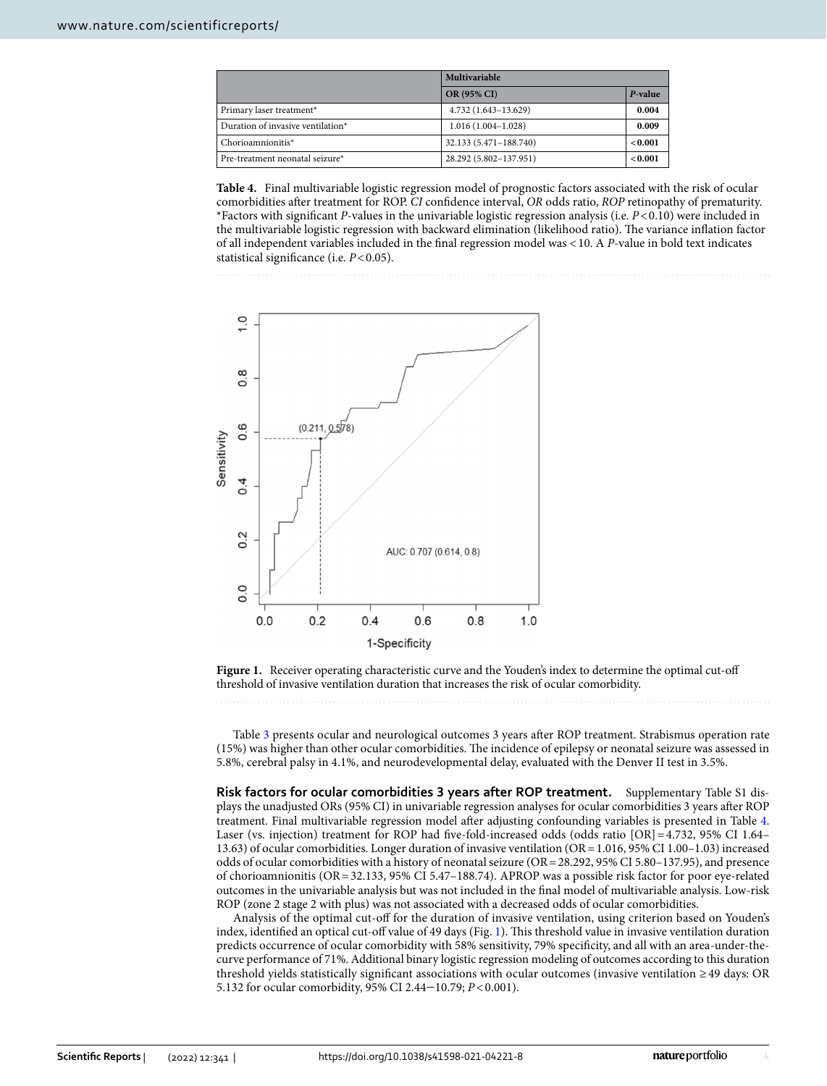|                                   | Multivariable          |         |  |
|-----------------------------------|------------------------|---------|--|
|                                   | <b>OR (95% CI)</b>     | P-value |  |
| Primary laser treatment*          | 4.732 (1.643-13.629)   | 0.004   |  |
| Duration of invasive ventilation* | $1.016(1.004-1.028)$   | 0.009   |  |
| Chorioamnionitis*                 | 32.133 (5.471-188.740) | < 0.001 |  |
| Pre-treatment neonatal seizure*   | 28.292 (5.802-137.951) | < 0.001 |  |

<span id="page-3-0"></span>**Table 4.** Final multivariable logistic regression model of prognostic factors associated with the risk of ocular comorbidities afer treatment for ROP. *CI* confdence interval, *OR* odds ratio, *ROP* retinopathy of prematurity. \*Factors with signifcant *P*-values in the univariable logistic regression analysis (i.e. *P*<0.10) were included in the multivariable logistic regression with backward elimination (likelihood ratio). The variance inflation factor of all independent variables included in the fnal regression model was <10. A *P*-value in bold text indicates statistical significance (i.e.  $P < 0.05$ ).



<span id="page-3-1"></span>Figure 1. Receiver operating characteristic curve and the Youden's index to determine the optimal cut-off threshold of invasive ventilation duration that increases the risk of ocular comorbidity.

Table [3](#page-2-1) presents ocular and neurological outcomes 3 years afer ROP treatment. Strabismus operation rate (15%) was higher than other ocular comorbidities. Te incidence of epilepsy or neonatal seizure was assessed in 5.8%, cerebral palsy in 4.1%, and neurodevelopmental delay, evaluated with the Denver II test in 3.5%.

**Risk factors for ocular comorbidities 3 years after ROP treatment.** Supplementary Table S1 displays the unadjusted ORs (95% CI) in univariable regression analyses for ocular comorbidities 3 years afer ROP treatment. Final multivariable regression model afer adjusting confounding variables is presented in Table [4](#page-3-0). Laser (vs. injection) treatment for ROP had five-fold-increased odds (odds ratio [OR] = 4.732, 95% CI 1.64– 13.63) of ocular comorbidities. Longer duration of invasive ventilation (OR=1.016, 95% CI 1.00–1.03) increased odds of ocular comorbidities with a history of neonatal seizure (OR=28.292, 95% CI 5.80–137.95), and presence of chorioamnionitis (OR=32.133, 95% CI 5.47–188.74). APROP was a possible risk factor for poor eye-related outcomes in the univariable analysis but was not included in the fnal model of multivariable analysis. Low-risk ROP (zone 2 stage 2 with plus) was not associated with a decreased odds of ocular comorbidities.

Analysis of the optimal cut-of for the duration of invasive ventilation, using criterion based on Youden's index, identified an optical cut-off value of 49 days (Fig. [1\)](#page-3-1). This threshold value in invasive ventilation duration predicts occurrence of ocular comorbidity with 58% sensitivity, 79% specifcity, and all with an area-under-thecurve performance of 71%. Additional binary logistic regression modeling of outcomes according to this duration threshold yields statistically signifcant associations with ocular outcomes (invasive ventilation ≥49 days: OR 5.132 for ocular comorbidity, 95% CI 2.44-10.79;  $P < 0.001$ ).

4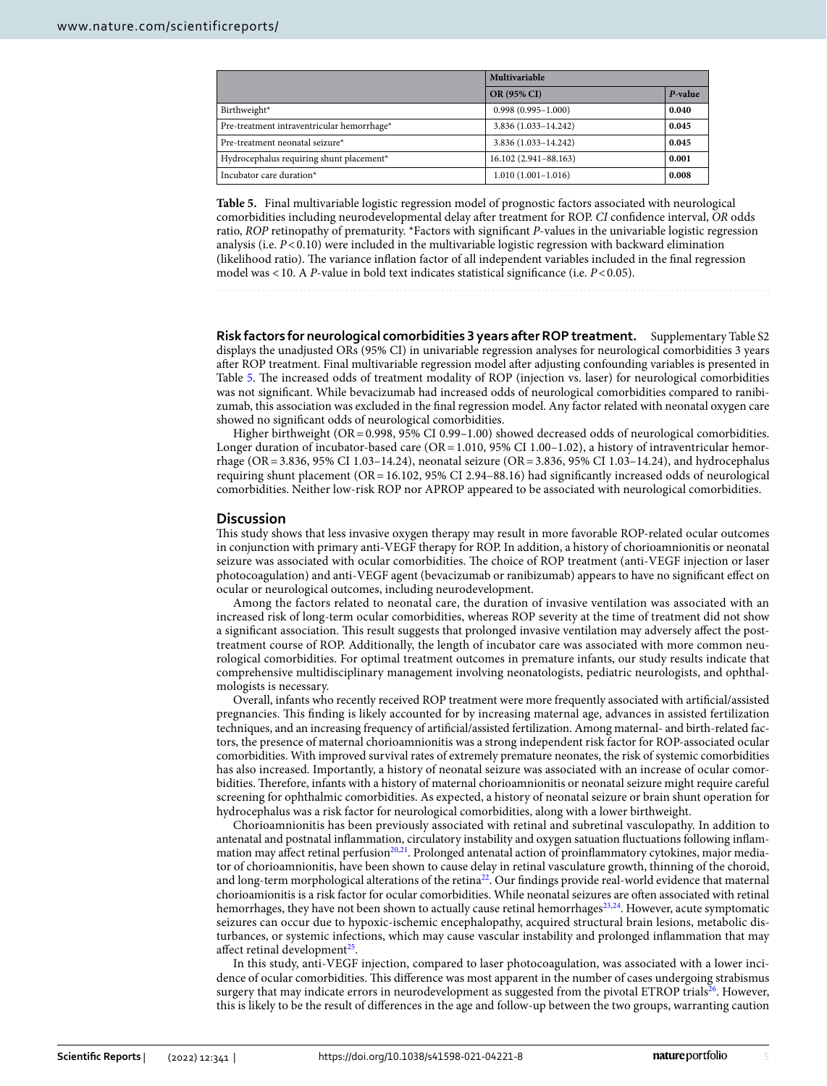|                                            | Multivariable          |         |  |
|--------------------------------------------|------------------------|---------|--|
|                                            | OR (95% CI)            | P-value |  |
| Birthweight*                               | $0.998(0.995 - 1.000)$ | 0.040   |  |
| Pre-treatment intraventricular hemorrhage* | 3.836 (1.033-14.242)   | 0.045   |  |
| Pre-treatment neonatal seizure*            | 3.836 (1.033-14.242)   | 0.045   |  |
| Hydrocephalus requiring shunt placement*   | 16.102 (2.941-88.163)  | 0.001   |  |
| Incubator care duration*                   | $1.010(1.001-1.016)$   | 0.008   |  |

<span id="page-4-0"></span>**Table 5.** Final multivariable logistic regression model of prognostic factors associated with neurological comorbidities including neurodevelopmental delay afer treatment for ROP. *CI* confdence interval, *OR* odds ratio, *ROP* retinopathy of prematurity. \*Factors with signifcant *P*-values in the univariable logistic regression analysis (i.e. *P*<0.10) were included in the multivariable logistic regression with backward elimination (likelihood ratio). The variance inflation factor of all independent variables included in the final regression model was <10. A *P*-value in bold text indicates statistical signifcance (i.e. *P*<0.05).

**Risk factors for neurological comorbidities 3 years after ROP treatment.** Supplementary Table S2 displays the unadjusted ORs (95% CI) in univariable regression analyses for neurological comorbidities 3 years afer ROP treatment. Final multivariable regression model afer adjusting confounding variables is presented in Table [5](#page-4-0). The increased odds of treatment modality of ROP (injection vs. laser) for neurological comorbidities was not signifcant. While bevacizumab had increased odds of neurological comorbidities compared to ranibizumab, this association was excluded in the fnal regression model. Any factor related with neonatal oxygen care showed no signifcant odds of neurological comorbidities.

Higher birthweight ( $OR = 0.998$ , 95% CI 0.99–1.00) showed decreased odds of neurological comorbidities. Longer duration of incubator-based care (OR = 1.010, 95% CI 1.00–1.02), a history of intraventricular hemorrhage (OR=3.836, 95% CI 1.03–14.24), neonatal seizure (OR=3.836, 95% CI 1.03–14.24), and hydrocephalus requiring shunt placement (OR=16.102, 95% CI 2.94–88.16) had signifcantly increased odds of neurological comorbidities. Neither low-risk ROP nor APROP appeared to be associated with neurological comorbidities.

#### **Discussion**

Tis study shows that less invasive oxygen therapy may result in more favorable ROP-related ocular outcomes in conjunction with primary anti-VEGF therapy for ROP. In addition, a history of chorioamnionitis or neonatal seizure was associated with ocular comorbidities. The choice of ROP treatment (anti-VEGF injection or laser photocoagulation) and anti-VEGF agent (bevacizumab or ranibizumab) appears to have no signifcant efect on ocular or neurological outcomes, including neurodevelopment.

Among the factors related to neonatal care, the duration of invasive ventilation was associated with an increased risk of long-term ocular comorbidities, whereas ROP severity at the time of treatment did not show a significant association. This result suggests that prolonged invasive ventilation may adversely affect the posttreatment course of ROP. Additionally, the length of incubator care was associated with more common neurological comorbidities. For optimal treatment outcomes in premature infants, our study results indicate that comprehensive multidisciplinary management involving neonatologists, pediatric neurologists, and ophthalmologists is necessary.

Overall, infants who recently received ROP treatment were more frequently associated with artifcial/assisted pregnancies. Tis fnding is likely accounted for by increasing maternal age, advances in assisted fertilization techniques, and an increasing frequency of artifcial/assisted fertilization. Among maternal- and birth-related factors, the presence of maternal chorioamnionitis was a strong independent risk factor for ROP-associated ocular comorbidities. With improved survival rates of extremely premature neonates, the risk of systemic comorbidities has also increased. Importantly, a history of neonatal seizure was associated with an increase of ocular comorbidities. Therefore, infants with a history of maternal chorioamnionitis or neonatal seizure might require careful screening for ophthalmic comorbidities. As expected, a history of neonatal seizure or brain shunt operation for hydrocephalus was a risk factor for neurological comorbidities, along with a lower birthweight.

Chorioamnionitis has been previously associated with retinal and subretinal vasculopathy. In addition to antenatal and postnatal infammation, circulatory instability and oxygen satuation fuctuations following infammation may affect retinal perfusion<sup>20,21</sup>. Prolonged antenatal action of proinflammatory cytokines, major mediator of chorioamnionitis, have been shown to cause delay in retinal vasculature growth, thinning of the choroid, and long-term morphological alterations of the retina<sup>[22](#page-7-13)</sup>. Our findings provide real-world evidence that maternal chorioamionitis is a risk factor for ocular comorbidities. While neonatal seizures are ofen associated with retinal hemorrhages, they have not been shown to actually cause retinal hemorrhages<sup>23,24</sup>. However, acute symptomatic seizures can occur due to hypoxic-ischemic encephalopathy, acquired structural brain lesions, metabolic disturbances, or systemic infections, which may cause vascular instability and prolonged infammation that may affect retinal development $^{25}$ .

In this study, anti-VEGF injection, compared to laser photocoagulation, was associated with a lower incidence of ocular comorbidities. Tis diference was most apparent in the number of cases undergoing strabismus surgery that may indicate errors in neurodevelopment as suggested from the pivotal ETROP trials<sup>26</sup>. However, this is likely to be the result of diferences in the age and follow-up between the two groups, warranting caution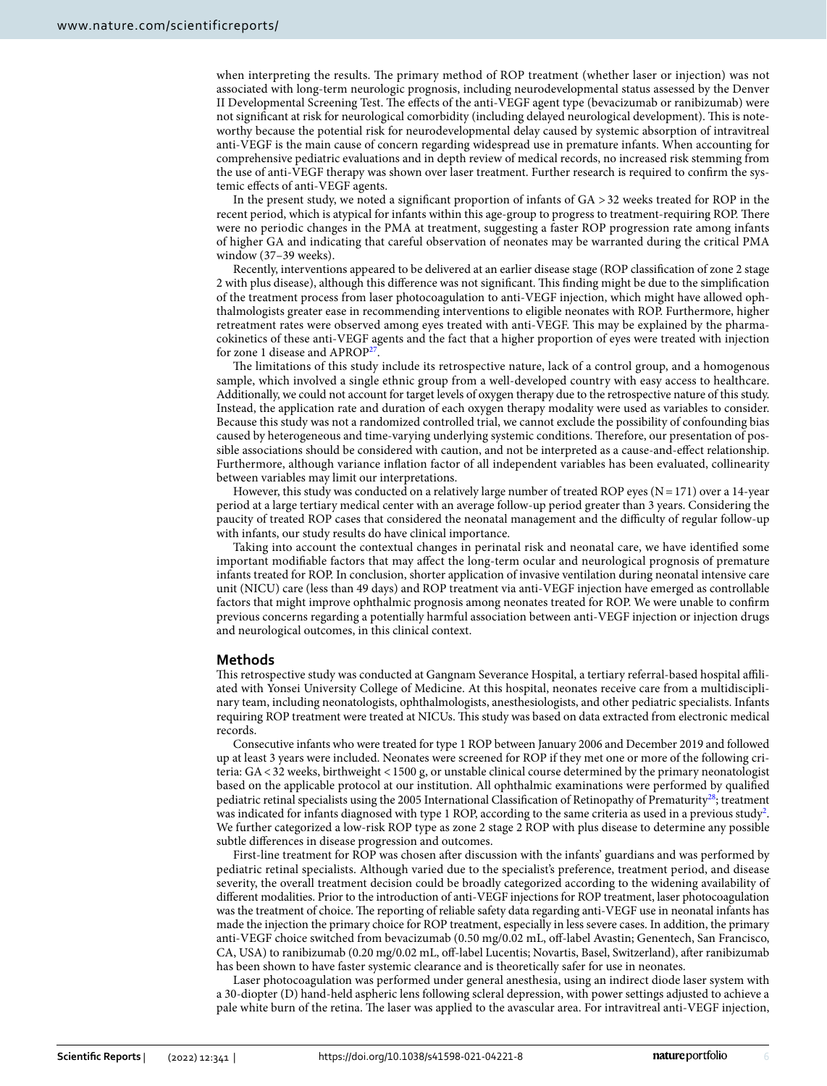when interpreting the results. The primary method of ROP treatment (whether laser or injection) was not associated with long-term neurologic prognosis, including neurodevelopmental status assessed by the Denver II Developmental Screening Test. The effects of the anti-VEGF agent type (bevacizumab or ranibizumab) were not signifcant at risk for neurological comorbidity (including delayed neurological development). Tis is noteworthy because the potential risk for neurodevelopmental delay caused by systemic absorption of intravitreal anti-VEGF is the main cause of concern regarding widespread use in premature infants. When accounting for comprehensive pediatric evaluations and in depth review of medical records, no increased risk stemming from the use of anti-VEGF therapy was shown over laser treatment. Further research is required to confrm the systemic efects of anti-VEGF agents.

In the present study, we noted a signifcant proportion of infants of GA >32 weeks treated for ROP in the recent period, which is atypical for infants within this age-group to progress to treatment-requiring ROP. There were no periodic changes in the PMA at treatment, suggesting a faster ROP progression rate among infants of higher GA and indicating that careful observation of neonates may be warranted during the critical PMA window (37–39 weeks).

Recently, interventions appeared to be delivered at an earlier disease stage (ROP classifcation of zone 2 stage 2 with plus disease), although this diference was not signifcant. Tis fnding might be due to the simplifcation of the treatment process from laser photocoagulation to anti-VEGF injection, which might have allowed ophthalmologists greater ease in recommending interventions to eligible neonates with ROP. Furthermore, higher retreatment rates were observed among eyes treated with anti-VEGF. Tis may be explained by the pharmacokinetics of these anti-VEGF agents and the fact that a higher proportion of eyes were treated with injection for zone 1 disease and APROP[27.](#page-7-18)

The limitations of this study include its retrospective nature, lack of a control group, and a homogenous sample, which involved a single ethnic group from a well-developed country with easy access to healthcare. Additionally, we could not account for target levels of oxygen therapy due to the retrospective nature of this study. Instead, the application rate and duration of each oxygen therapy modality were used as variables to consider. Because this study was not a randomized controlled trial, we cannot exclude the possibility of confounding bias caused by heterogeneous and time-varying underlying systemic conditions. Therefore, our presentation of possible associations should be considered with caution, and not be interpreted as a cause-and-efect relationship. Furthermore, although variance infation factor of all independent variables has been evaluated, collinearity between variables may limit our interpretations.

However, this study was conducted on a relatively large number of treated ROP eyes ( $N=171$ ) over a 14-year period at a large tertiary medical center with an average follow-up period greater than 3 years. Considering the paucity of treated ROP cases that considered the neonatal management and the difculty of regular follow-up with infants, our study results do have clinical importance.

Taking into account the contextual changes in perinatal risk and neonatal care, we have identifed some important modifable factors that may afect the long-term ocular and neurological prognosis of premature infants treated for ROP. In conclusion, shorter application of invasive ventilation during neonatal intensive care unit (NICU) care (less than 49 days) and ROP treatment via anti-VEGF injection have emerged as controllable factors that might improve ophthalmic prognosis among neonates treated for ROP. We were unable to confrm previous concerns regarding a potentially harmful association between anti-VEGF injection or injection drugs and neurological outcomes, in this clinical context.

#### **Methods**

Tis retrospective study was conducted at Gangnam Severance Hospital, a tertiary referral-based hospital afliated with Yonsei University College of Medicine. At this hospital, neonates receive care from a multidisciplinary team, including neonatologists, ophthalmologists, anesthesiologists, and other pediatric specialists. Infants requiring ROP treatment were treated at NICUs. This study was based on data extracted from electronic medical records.

Consecutive infants who were treated for type 1 ROP between January 2006 and December 2019 and followed up at least 3 years were included. Neonates were screened for ROP if they met one or more of the following criteria: GA<32 weeks, birthweight <1500 g, or unstable clinical course determined by the primary neonatologist based on the applicable protocol at our institution. All ophthalmic examinations were performed by qualifed pediatric retinal specialists using the 2005 International Classification of Retinopathy of Prematurity<sup>[28](#page-7-19)</sup>; treatment was indicated for infants diagnosed with type 1 ROP, according to the same criteria as used in a previous study<sup>2</sup>. We further categorized a low-risk ROP type as zone 2 stage 2 ROP with plus disease to determine any possible subtle diferences in disease progression and outcomes.

First-line treatment for ROP was chosen afer discussion with the infants' guardians and was performed by pediatric retinal specialists. Although varied due to the specialist's preference, treatment period, and disease severity, the overall treatment decision could be broadly categorized according to the widening availability of diferent modalities. Prior to the introduction of anti-VEGF injections for ROP treatment, laser photocoagulation was the treatment of choice. The reporting of reliable safety data regarding anti-VEGF use in neonatal infants has made the injection the primary choice for ROP treatment, especially in less severe cases. In addition, the primary anti-VEGF choice switched from bevacizumab (0.50 mg/0.02 mL, of-label Avastin; Genentech, San Francisco, CA, USA) to ranibizumab (0.20 mg/0.02 mL, off-label Lucentis; Novartis, Basel, Switzerland), after ranibizumab has been shown to have faster systemic clearance and is theoretically safer for use in neonates.

Laser photocoagulation was performed under general anesthesia, using an indirect diode laser system with a 30-diopter (D) hand-held aspheric lens following scleral depression, with power settings adjusted to achieve a pale white burn of the retina. Te laser was applied to the avascular area. For intravitreal anti-VEGF injection,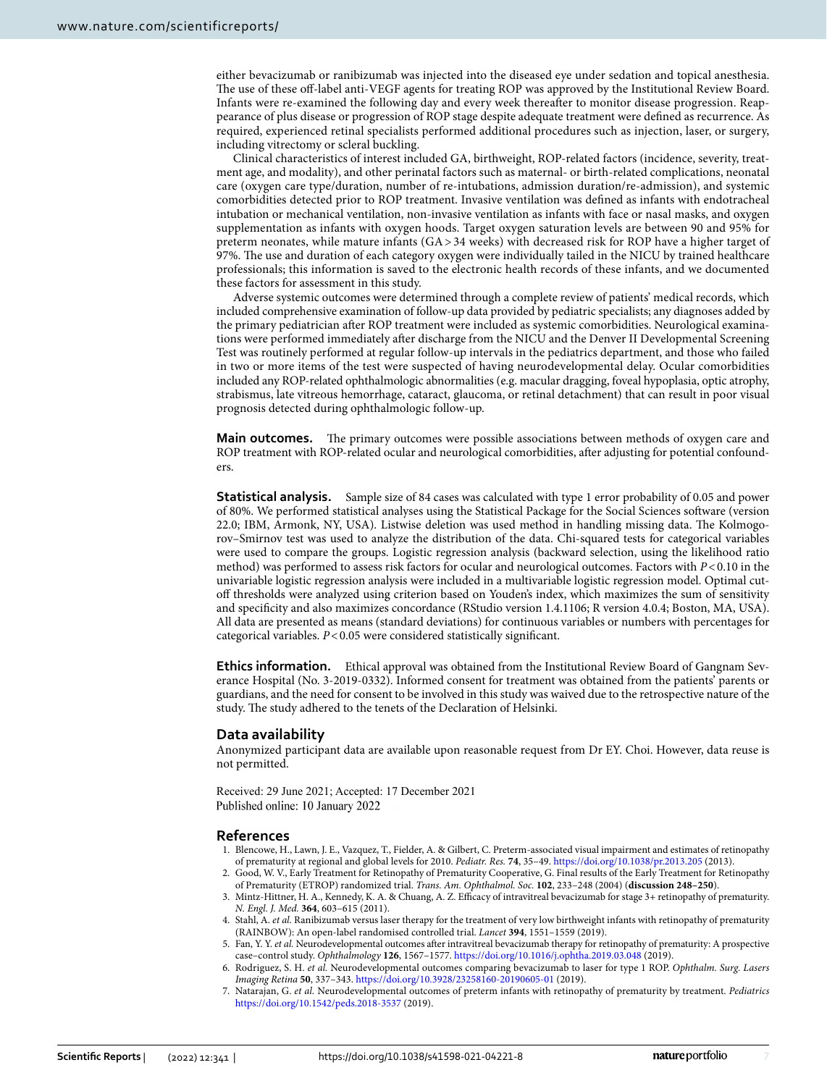either bevacizumab or ranibizumab was injected into the diseased eye under sedation and topical anesthesia. The use of these off-label anti-VEGF agents for treating ROP was approved by the Institutional Review Board. Infants were re-examined the following day and every week thereafer to monitor disease progression. Reappearance of plus disease or progression of ROP stage despite adequate treatment were defned as recurrence. As required, experienced retinal specialists performed additional procedures such as injection, laser, or surgery, including vitrectomy or scleral buckling.

Clinical characteristics of interest included GA, birthweight, ROP-related factors (incidence, severity, treatment age, and modality), and other perinatal factors such as maternal- or birth-related complications, neonatal care (oxygen care type/duration, number of re-intubations, admission duration/re-admission), and systemic comorbidities detected prior to ROP treatment. Invasive ventilation was defned as infants with endotracheal intubation or mechanical ventilation, non-invasive ventilation as infants with face or nasal masks, and oxygen supplementation as infants with oxygen hoods. Target oxygen saturation levels are between 90 and 95% for preterm neonates, while mature infants (GA> 34 weeks) with decreased risk for ROP have a higher target of 97%. The use and duration of each category oxygen were individually tailed in the NICU by trained healthcare professionals; this information is saved to the electronic health records of these infants, and we documented these factors for assessment in this study.

Adverse systemic outcomes were determined through a complete review of patients' medical records, which included comprehensive examination of follow-up data provided by pediatric specialists; any diagnoses added by the primary pediatrician afer ROP treatment were included as systemic comorbidities. Neurological examinations were performed immediately afer discharge from the NICU and the Denver II Developmental Screening Test was routinely performed at regular follow-up intervals in the pediatrics department, and those who failed in two or more items of the test were suspected of having neurodevelopmental delay. Ocular comorbidities included any ROP-related ophthalmologic abnormalities (e.g. macular dragging, foveal hypoplasia, optic atrophy, strabismus, late vitreous hemorrhage, cataract, glaucoma, or retinal detachment) that can result in poor visual prognosis detected during ophthalmologic follow-up.

**Main outcomes.** The primary outcomes were possible associations between methods of oxygen care and ROP treatment with ROP-related ocular and neurological comorbidities, afer adjusting for potential confounders.

**Statistical analysis.** Sample size of 84 cases was calculated with type 1 error probability of 0.05 and power of 80%. We performed statistical analyses using the Statistical Package for the Social Sciences sofware (version 22.0; IBM, Armonk, NY, USA). Listwise deletion was used method in handling missing data. The Kolmogorov–Smirnov test was used to analyze the distribution of the data. Chi-squared tests for categorical variables were used to compare the groups. Logistic regression analysis (backward selection, using the likelihood ratio method) was performed to assess risk factors for ocular and neurological outcomes. Factors with *P*<0.10 in the univariable logistic regression analysis were included in a multivariable logistic regression model. Optimal cutof thresholds were analyzed using criterion based on Youden's index, which maximizes the sum of sensitivity and specifcity and also maximizes concordance (RStudio version 1.4.1106; R version 4.0.4; Boston, MA, USA). All data are presented as means (standard deviations) for continuous variables or numbers with percentages for categorical variables. *P*<0.05 were considered statistically signifcant.

**Ethics information.** Ethical approval was obtained from the Institutional Review Board of Gangnam Severance Hospital (No. 3-2019-0332). Informed consent for treatment was obtained from the patients' parents or guardians, and the need for consent to be involved in this study was waived due to the retrospective nature of the study. The study adhered to the tenets of the Declaration of Helsinki.

#### **Data availability**

Anonymized participant data are available upon reasonable request from Dr EY. Choi. However, data reuse is not permitted.

Received: 29 June 2021; Accepted: 17 December 2021 Published online: 10 January 2022

#### **References**

- <span id="page-6-0"></span>1. Blencowe, H., Lawn, J. E., Vazquez, T., Fielder, A. & Gilbert, C. Preterm-associated visual impairment and estimates of retinopathy of prematurity at regional and global levels for 2010. *Pediatr. Res.* **74**, 35–49. <https://doi.org/10.1038/pr.2013.205>(2013).
- <span id="page-6-1"></span>2. Good, W. V., Early Treatment for Retinopathy of Prematurity Cooperative, G. Final results of the Early Treatment for Retinopathy of Prematurity (ETROP) randomized trial. *Trans. Am. Ophthalmol. Soc.* **102**, 233–248 (2004) (**discussion 248–250**).
- <span id="page-6-2"></span>3. Mintz-Hittner, H. A., Kennedy, K. A. & Chuang, A. Z. Efcacy of intravitreal bevacizumab for stage 3+ retinopathy of prematurity. *N. Engl. J. Med.* **364**, 603–615 (2011).
- <span id="page-6-3"></span>4. Stahl, A. *et al.* Ranibizumab versus laser therapy for the treatment of very low birthweight infants with retinopathy of prematurity (RAINBOW): An open-label randomised controlled trial. *Lancet* **394**, 1551–1559 (2019).
- <span id="page-6-4"></span>5. Fan, Y. Y. *et al.* Neurodevelopmental outcomes afer intravitreal bevacizumab therapy for retinopathy of prematurity: A prospective case–control study. *Ophthalmology* **126**, 1567–1577.<https://doi.org/10.1016/j.ophtha.2019.03.048> (2019).
- 6. Rodriguez, S. H. *et al.* Neurodevelopmental outcomes comparing bevacizumab to laser for type 1 ROP. *Ophthalm. Surg. Lasers Imaging Retina* **50**, 337–343.<https://doi.org/10.3928/23258160-20190605-01> (2019).
- 7. Natarajan, G. *et al.* Neurodevelopmental outcomes of preterm infants with retinopathy of prematurity by treatment. *Pediatrics* <https://doi.org/10.1542/peds.2018-3537> (2019).

7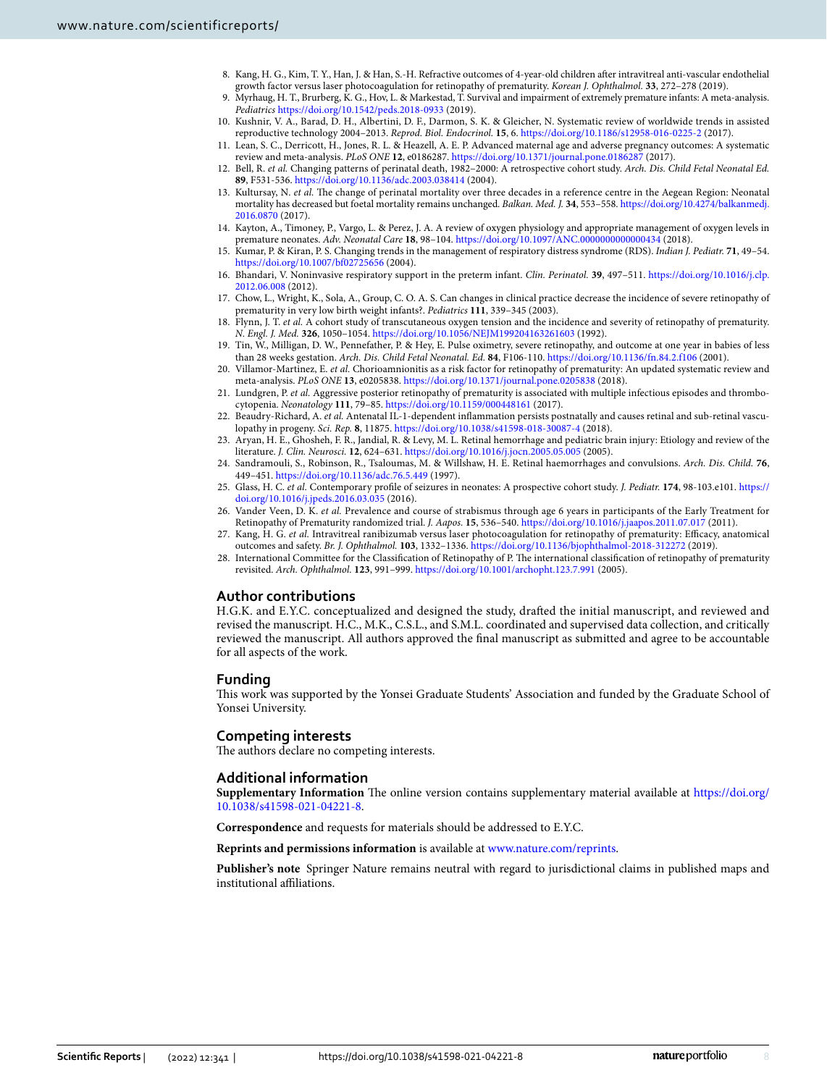- <span id="page-7-0"></span>8. Kang, H. G., Kim, T. Y., Han, J. & Han, S.-H. Refractive outcomes of 4-year-old children afer intravitreal anti-vascular endothelial growth factor versus laser photocoagulation for retinopathy of prematurity. *Korean J. Ophthalmol.* **33**, 272–278 (2019).
- <span id="page-7-1"></span>9. Myrhaug, H. T., Brurberg, K. G., Hov, L. & Markestad, T. Survival and impairment of extremely premature infants: A meta-analysis. *Pediatrics* <https://doi.org/10.1542/peds.2018-0933>(2019).
- <span id="page-7-2"></span>10. Kushnir, V. A., Barad, D. H., Albertini, D. F., Darmon, S. K. & Gleicher, N. Systematic review of worldwide trends in assisted reproductive technology 2004–2013. *Reprod. Biol. Endocrinol.* **15**, 6.<https://doi.org/10.1186/s12958-016-0225-2> (2017).
- <span id="page-7-3"></span>11. Lean, S. C., Derricott, H., Jones, R. L. & Heazell, A. E. P. Advanced maternal age and adverse pregnancy outcomes: A systematic review and meta-analysis. *PLoS ONE* **12**, e0186287.<https://doi.org/10.1371/journal.pone.0186287> (2017).
- <span id="page-7-4"></span>12. Bell, R. *et al.* Changing patterns of perinatal death, 1982–2000: A retrospective cohort study. *Arch. Dis. Child Fetal Neonatal Ed.* **89**, F531-536.<https://doi.org/10.1136/adc.2003.038414>(2004).
- <span id="page-7-5"></span>13. Kultursay, N. *et al.* The change of perinatal mortality over three decades in a reference centre in the Aegean Region: Neonatal mortality has decreased but foetal mortality remains unchanged. *Balkan. Med. J.* **34**, 553–558. [https://doi.org/10.4274/balkanmedj.](https://doi.org/10.4274/balkanmedj.2016.0870) [2016.0870](https://doi.org/10.4274/balkanmedj.2016.0870) (2017).
- <span id="page-7-6"></span>14. Kayton, A., Timoney, P., Vargo, L. & Perez, J. A. A review of oxygen physiology and appropriate management of oxygen levels in premature neonates. *Adv. Neonatal Care* **18**, 98–104.<https://doi.org/10.1097/ANC.0000000000000434>(2018).
- <span id="page-7-7"></span>15. Kumar, P. & Kiran, P. S. Changing trends in the management of respiratory distress syndrome (RDS). *Indian J. Pediatr.* **71**, 49–54. <https://doi.org/10.1007/bf02725656>(2004).
- <span id="page-7-8"></span>16. Bhandari, V. Noninvasive respiratory support in the preterm infant. *Clin. Perinatol.* **39**, 497–511. [https://doi.org/10.1016/j.clp.](https://doi.org/10.1016/j.clp.2012.06.008) [2012.06.008](https://doi.org/10.1016/j.clp.2012.06.008) (2012).
- <span id="page-7-9"></span>17. Chow, L., Wright, K., Sola, A., Group, C. O. A. S. Can changes in clinical practice decrease the incidence of severe retinopathy of prematurity in very low birth weight infants?. *Pediatrics* **111**, 339–345 (2003).
- 18. Flynn, J. T. *et al.* A cohort study of transcutaneous oxygen tension and the incidence and severity of retinopathy of prematurity. *N. Engl. J. Med.* **326**, 1050–1054.<https://doi.org/10.1056/NEJM199204163261603>(1992).
- <span id="page-7-10"></span>19. Tin, W., Milligan, D. W., Pennefather, P. & Hey, E. Pulse oximetry, severe retinopathy, and outcome at one year in babies of less than 28 weeks gestation. *Arch. Dis. Child Fetal Neonatal. Ed.* **84**, F106-110.<https://doi.org/10.1136/fn.84.2.f106> (2001).
- <span id="page-7-11"></span>20. Villamor-Martinez, E. *et al.* Chorioamnionitis as a risk factor for retinopathy of prematurity: An updated systematic review and meta-analysis. *PLoS ONE* **13**, e0205838. <https://doi.org/10.1371/journal.pone.0205838>(2018).
- <span id="page-7-12"></span>21. Lundgren, P. *et al.* Aggressive posterior retinopathy of prematurity is associated with multiple infectious episodes and thrombocytopenia. *Neonatology* **111**, 79–85. <https://doi.org/10.1159/000448161> (2017).
- <span id="page-7-13"></span>22. Beaudry-Richard, A. et al. Antenatal IL-1-dependent inflammation persists postnatally and causes retinal and sub-retinal vasculopathy in progeny. *Sci. Rep.* **8**, 11875.<https://doi.org/10.1038/s41598-018-30087-4>(2018).
- <span id="page-7-14"></span>23. Aryan, H. E., Ghosheh, F. R., Jandial, R. & Levy, M. L. Retinal hemorrhage and pediatric brain injury: Etiology and review of the literature. *J. Clin. Neurosci.* **12**, 624–631.<https://doi.org/10.1016/j.jocn.2005.05.005> (2005).
- <span id="page-7-15"></span>24. Sandramouli, S., Robinson, R., Tsaloumas, M. & Willshaw, H. E. Retinal haemorrhages and convulsions. *Arch. Dis. Child.* **76**, 449–451. <https://doi.org/10.1136/adc.76.5.449> (1997).
- <span id="page-7-16"></span>25. Glass, H. C. *et al.* Contemporary profle of seizures in neonates: A prospective cohort study. *J. Pediatr.* **174**, 98-103.e101. [https://](https://doi.org/10.1016/j.jpeds.2016.03.035) [doi.org/10.1016/j.jpeds.2016.03.035](https://doi.org/10.1016/j.jpeds.2016.03.035) (2016).
- <span id="page-7-17"></span>26. Vander Veen, D. K. *et al.* Prevalence and course of strabismus through age 6 years in participants of the Early Treatment for Retinopathy of Prematurity randomized trial. *J. Aapos.* **15**, 536–540.<https://doi.org/10.1016/j.jaapos.2011.07.017> (2011).
- <span id="page-7-18"></span>27. Kang, H. G. et al. Intravitreal ranibizumab versus laser photocoagulation for retinopathy of prematurity: Efficacy, anatomical outcomes and safety. *Br. J. Ophthalmol.* **103**, 1332–1336.<https://doi.org/10.1136/bjophthalmol-2018-312272>(2019).
- <span id="page-7-19"></span>28. International Committee for the Classifcation of Retinopathy of P. Te international classifcation of retinopathy of prematurity revisited. *Arch. Ophthalmol.* **123**, 991–999.<https://doi.org/10.1001/archopht.123.7.991>(2005).

### **Author contributions**

H.G.K. and E.Y.C. conceptualized and designed the study, drafed the initial manuscript, and reviewed and revised the manuscript. H.C., M.K., C.S.L., and S.M.L. coordinated and supervised data collection, and critically reviewed the manuscript. All authors approved the fnal manuscript as submitted and agree to be accountable for all aspects of the work.

#### **Funding**

Tis work was supported by the Yonsei Graduate Students' Association and funded by the Graduate School of Yonsei University.

#### **Competing interests**

The authors declare no competing interests.

#### **Additional information**

**Supplementary Information** The online version contains supplementary material available at [https://doi.org/](https://doi.org/10.1038/s41598-021-04221-8) [10.1038/s41598-021-04221-8](https://doi.org/10.1038/s41598-021-04221-8).

**Correspondence** and requests for materials should be addressed to E.Y.C.

**Reprints and permissions information** is available at [www.nature.com/reprints.](www.nature.com/reprints)

**Publisher's note** Springer Nature remains neutral with regard to jurisdictional claims in published maps and institutional afliations.